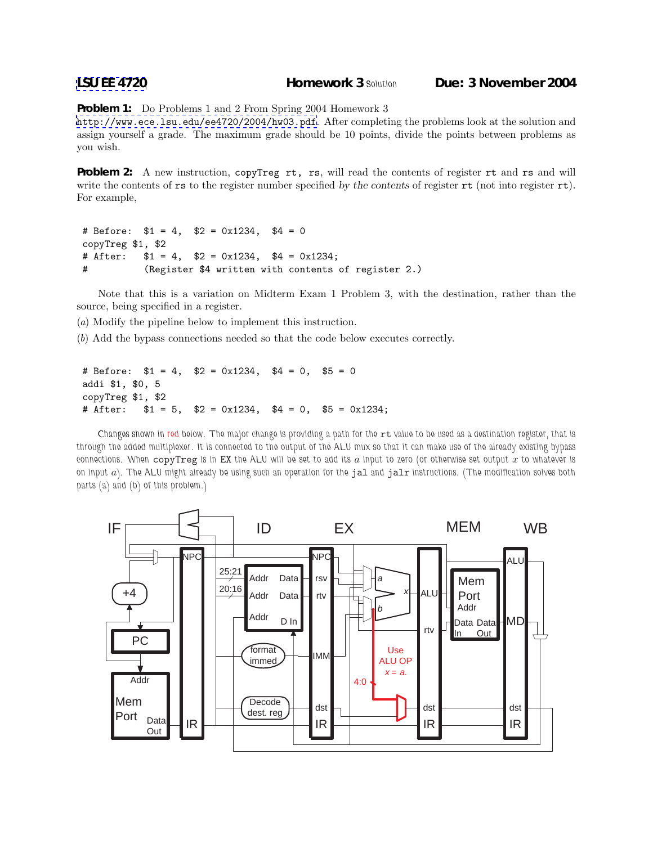**[LSU EE 4720](http://www.ece.lsu.edu/ee4720/) Homework 3** *Solution* **Due: 3 November 2004**

**Problem 1:** Do Problems 1 and 2 From Spring 2004 Homework 3

<http://www.ece.lsu.edu/ee4720/2004/hw03.pdf>. After completing the problems look at the solution and assign yourself a grade. The maximum grade should be 10 points, divide the points between problems as you wish.

**Problem 2:** A new instruction, copyTreg rt, rs, will read the contents of register rt and rs and will write the contents of rs to the register number specified by the contents of register rt (not into register rt). For example,

```
# Before: $1 = 4, $2 = 0x1234, $4 = 0copyTreg $1, $2
# After: $1 = 4, $2 = 0x1234, $4 = 0x1234;
# (Register $4 written with contents of register 2.)
```
Note that this is a variation on Midterm Exam 1 Problem 3, with the destination, rather than the source, being specified in a register.

(a) Modify the pipeline below to implement this instruction.

(b) Add the bypass connections needed so that the code below executes correctly.

```
# Before: $1 = 4, $2 = 0x1234, $4 = 0, $5 = 0addi $1, $0, 5
copyTreg $1, $2
# After: $1 = 5, $2 = 0x1234, $4 = 0, $5 = 0x1234;
```
*Changes shown in red below. The major change is providing a path for the* rt *value to be used as a destination register, that is through the added multiplexer. It is connected to the output of the ALU mux so that it can make use of the already existing bypass connections. When* copyTreg *is in* EX *the ALU will be set to add its* a *input to zero (or otherwise set output* x *to whatever is on input* a*). The ALU might already be using such an operation for the* jal *and* jalr *instructions. (The modification solves both parts (a) and (b) of this problem.)*

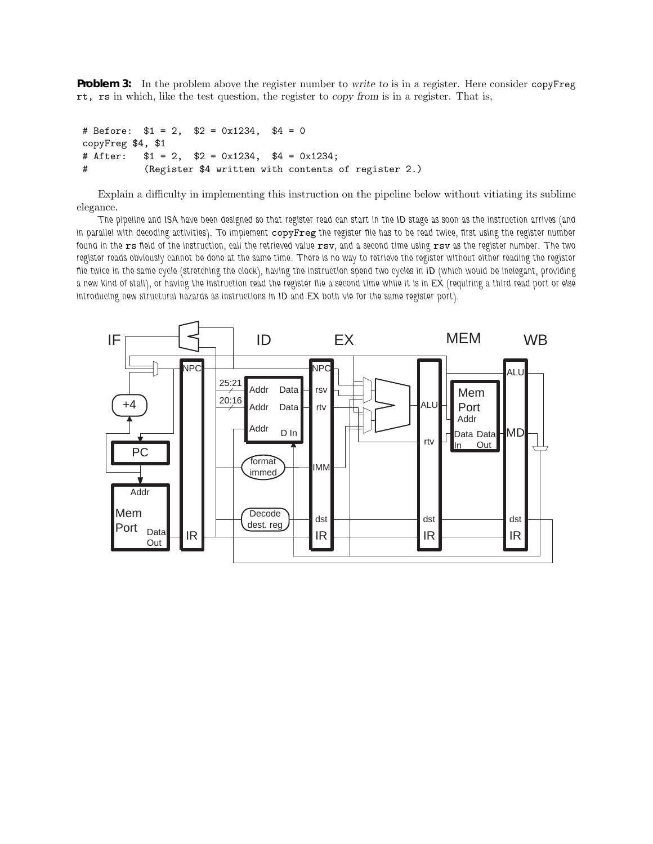**Problem 3:** In the problem above the register number to write to is in a register. Here consider copyFreg rt, rs in which, like the test question, the register to copy from is in a register. That is,

```
# Before: $1 = 2, $2 = 0x1234, $4 = 0
copyFreg $4, $1
# After: $1 = 2, $2 = 0x1234, $4 = 0x1234;
# (Register $4 written with contents of register 2.)
```
Explain a difficulty in implementing this instruction on the pipeline below without vitiating its sublime elegance.

*The pipeline and ISA have been designed so that register read can start in the ID stage as soon as the instruction arrives (and in parallel with decoding activities). To implement* copyFreg *the register file has to be read twice, first using the register number found in the* rs *field of the instruction, call the retrieved value* rsv*, and a second time using* rsv *as the register number. The two register reads obviously cannot be done at the same time. There is no way to retrieve the register without either reading the register file twice in the same cycle (stretching the clock), having the instruction spend two cycles in ID (which would be inelegant, providing a new kind of stall), or having the instruction read the register file a second time while it is in EX (requiring a third read port or else introducing new structural hazards as instructions in ID and EX both vie for the same register port).*